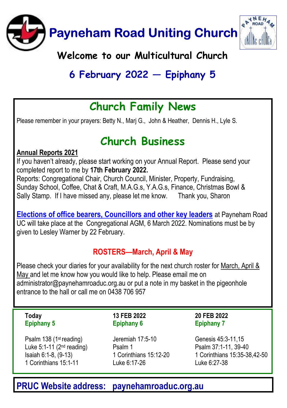

# 6 February 2022  $-$  Epiphany 5

### Church Family News

Please remember in your prayers: Betty N., Marj G., John & Heather, Dennis H., Lyle S.

### Church Business

#### Annual Reports 2021

If you haven't already, please start working on your Annual Report. Please send your completed report to me by 17th February 2022.

Reports: Congregational Chair, Church Council, Minister, Property, Fundraising, Sunday School, Coffee, Chat & Craft, M.A.G.s, Y.A.G.s, Finance, Christmas Bowl & Sally Stamp. If I have missed any, please let me know. Thank you, Sharon

Elections of office bearers, Councillors and other key leaders at Payneham Road UC will take place at the Congregational AGM, 6 March 2022. Nominations must be by given to Lesley Warner by 22 February.

#### ROSTERS—March, April & May

Please check your diaries for your availability for the next church roster for March, April & May and let me know how you would like to help. Please email me on administrator@paynehamroaduc.org.au or put a note in my basket in the pigeonhole entrance to the hall or call me on 0438 706 957

#### Today Epiphany 5

Psalm 138 (1st reading) Luke  $5:1-11$  ( $2<sup>nd</sup>$  reading) Isaiah 6:1-8, (9-13) 1 Corinthians 15:1-11

13 FEB 2022 Epiphany 6

Jeremiah 17:5-10 Psalm 1 1 Corinthians 15:12-20 Luke 6:17-26

20 FEB 2022 Epiphany 7

Genesis 45:3-11,15 Psalm 37:1-11, 39-40 1 Corinthians 15:35-38,42-50 Luke 6:27-38

### PRUC Website address: paynehamroaduc.org.au